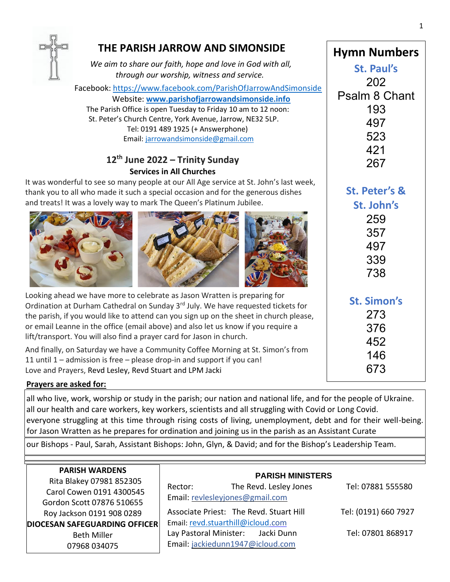

## **THE PARISH JARROW AND SIMONSIDE**

*We aim to share our faith, hope and love in God with all, through our worship, witness and service.*

Facebook: <https://www.facebook.com/ParishOfJarrowAndSimonside>

 Website: **[www.parishofjarrowandsimonside.info](http://www.parishofjarrowandsimonside.info/)** The Parish Office is open Tuesday to Friday 10 am to 12 noon: St. Peter's Church Centre, York Avenue, Jarrow, NE32 5LP. Tel: 0191 489 1925 (+ Answerphone) Email: [jarrowandsimonside@gmail.com](mailto:jarrowandsimonside@gmail.com)

## **12th June 2022 – Trinity Sunday Services in All Churches**

 thank you to all who made it such a special occasion and for the generous dishes It was wonderful to see so many people at our All Age service at St. John's last week, and treats! It was a lovely way to mark The Queen's Platinum Jubilee.







Looking ahead we have more to celebrate as Jason Wratten is preparing for Ordination at Durham Cathedral on Sunday 3<sup>rd</sup> July. We have requested tickets for the parish, if you would like to attend can you sign up on the sheet in church please, or email Leanne in the office (email above) and also let us know if you require a lift/transport. You will also find a prayer card for Jason in church. And finally, on Saturday we have a Community Coffee Morning at St. Simon's from

11 until 1 – admission is free – please drop-in and support if you can! Love and Prayers, Revd Lesley, Revd Stuart and LPM Jacki

## **Prayers are asked for:**

all who live, work, worship or study in the parish; our nation and national life, and for the people of Ukraine. all our health and care workers, key workers, scientists and all struggling with Covid or Long Covid. everyone struggling at this time through rising costs of living, unemployment, debt and for their well-being. for Jason Wratten as he prepares for ordination and joining us in the parish as an Assistant Curate

our Bishops - Paul, Sarah, Assistant Bishops: John, Glyn, & David; and for the Bishop's Leadership Team.

| <b>PARISH WARDENS</b><br>Rita Blakey 07981 852305<br>Carol Cowen 0191 4300545<br>Gordon Scott 07876 510655 | <b>PARISH MINISTERS</b><br>The Revd. Lesley Jones<br>Rector:<br>Email: revlesleyjones@gmail.com | Tel: 07881 555580    |
|------------------------------------------------------------------------------------------------------------|-------------------------------------------------------------------------------------------------|----------------------|
| Roy Jackson 0191 908 0289                                                                                  | Associate Priest: The Revd. Stuart Hill                                                         | Tel: (0191) 660 7927 |
| DIOCESAN SAFEGUARDING OFFICER                                                                              | Email: revd.stuarthill@icloud.com                                                               |                      |
| <b>Beth Miller</b><br>07968 034075                                                                         | Lay Pastoral Minister: Jacki Dunn<br>Email: jackiedunn1947@icloud.com                           | Tel: 07801 868917    |

339 738

**Hymn Numbers**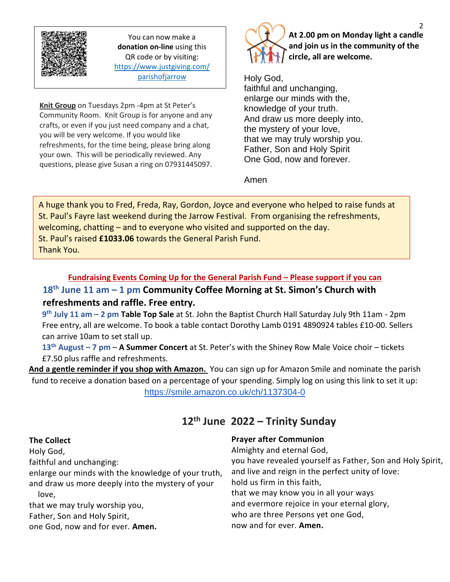

You can now make a **donation on-line** using this QR code or by visiting: [https://www.justgiving.com/](https://www.justgiving.com/parishofjarrow) [parishofjarrow](https://www.justgiving.com/parishofjarrow)

Thank you.

**Knit Group** on Tuesdays 2pm -4pm at St Peter's Community Room. Knit Group is for anyone and any crafts, or even if you just need company and a chat, you will be very welcome. If you would like refreshments, for the time being, please bring along your own. This will be periodically reviewed. Any questions, please give Susan a ring on 07931445097.



**At 2.00 pm on Monday light a candle and join us in the community of the circle, all are welcome.**

Holy God, faithful and unchanging, enlarge our minds with the, knowledge of your truth. And draw us more deeply into, the mystery of your love, that we may truly worship you. Father, Son and Holy Spirit One God, now and forever.

### Amen

A huge thank you to Fred, Freda, Ray, Gordon, Joyce and everyone who helped to raise funds at St. Paul's Fayre last weekend during the Jarrow Festival. From organising the refreshments, welcoming, chatting – and to everyone who visited and supported on the day. St. Paul's raised **£1033.06** towards the General Parish Fund. Thank You.

## **Fundraising Events Coming Up for the General Parish Fund – Please support if you can**

## **18th June 11 am – 1 pm Community Coffee Morning at St. Simon's Church with refreshments and raffle. Free entry.**

**9 th July 11 am – 2 pm Table Top Sale** at St. John the Baptist Church Hall Saturday July 9th 11am - 2pm Free entry, all are welcome. To book a table contact Dorothy Lamb 0191 4890924 tables £10-00. Sellers can arrive 10am to set stall up.

**13th August – 7 pm** – **A Summer Concert** at St. Peter's with the Shiney Row Male Voice choir – tickets £7.50 plus raffle and refreshments.

**And a gentle reminder if you shop with Amazon.** You can sign up for Amazon Smile and nominate the parish fund to receive a donation based on a percentage of your spending. Simply log on using this link to set it up: <https://smile.amazon.co.uk/ch/1137304-0>

# **12th June 2022 – Trinity Sunday**

#### **The Collect**

Holy God,

faithful and unchanging:

enlarge our minds with the knowledge of your truth, and draw us more deeply into the mystery of your love,

that we may truly worship you,

Father, Son and Holy Spirit,

one God, now and for ever. **Amen.**

#### **Prayer after Communion**

Almighty and eternal God, you have revealed yourself as Father, Son and Holy Spirit, and live and reign in the perfect unity of love: hold us firm in this faith, that we may know you in all your ways and evermore rejoice in your eternal glory, who are three Persons yet one God, now and for ever. **Amen.**

2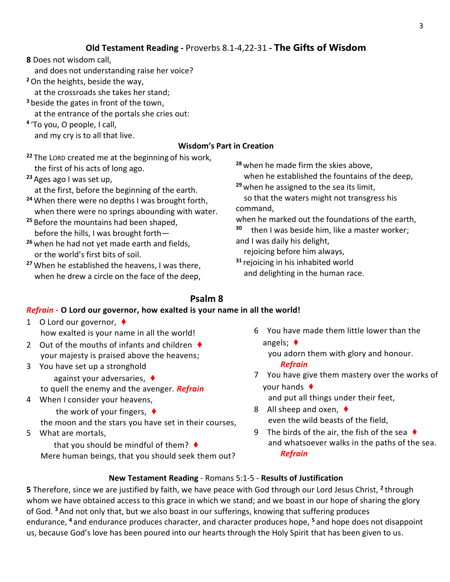## **Old Testament Reading -** Proverbs 8.1-4,22-31 **- The Gifts of Wisdom**

**8** Does not wisdom call,

and does not understanding raise her voice?

**<sup>2</sup>**On the heights, beside the way,

at the crossroads she takes her stand;

**<sup>3</sup>** beside the gates in front of the town,

at the entrance of the portals she cries out:

**4** 'To you, O people, I call,

and my cry is to all that live.

## **Wisdom's Part in Creation**

**<sup>22</sup>** The LORD created me at the beginning of his work, the first of his acts of long ago.

**<sup>23</sup>** Ages ago I was set up,

at the first, before the beginning of the earth.

- **<sup>24</sup>** When there were no depths I was brought forth, when there were no springs abounding with water.
- **<sup>25</sup>** Before the mountains had been shaped, before the hills, I was brought forth—
- **<sup>26</sup>** when he had not yet made earth and fields, or the world's first bits of soil.
- **<sup>27</sup>** When he established the heavens, I was there, when he drew a circle on the face of the deep,

**<sup>28</sup>** when he made firm the skies above,

when he established the fountains of the deep,

**<sup>29</sup>** when he assigned to the sea its limit,

so that the waters might not transgress his command,

when he marked out the foundations of the earth,

**<sup>30</sup>** then I was beside him, like a master worker; and I was daily his delight,

rejoicing before him always,

**<sup>31</sup>** rejoicing in his inhabited world and delighting in the human race.

## **Psalm 8**

## *Refrain -* **O Lord our governor, how exalted is your name in all the world!**

- 1 O Lord our governor, ♦ how exalted is your name in all the world!
- 2 Out of the mouths of infants and children  $\blacklozenge$ your majesty is praised above the heavens;
- 3 You have set up a stronghold against your adversaries, ♦ to quell the enemy and the avenger. *Refrain*
- 4 When I consider your heavens, the work of your fingers, ♦

the moon and the stars you have set in their courses,

5 What are mortals,

that you should be mindful of them?  $\blacklozenge$ Mere human beings, that you should seek them out? 6 You have made them little lower than the angels; ♦

you adorn them with glory and honour.

*Refrain*

7 You have give them mastery over the works of your hands ♦

and put all things under their feet,

- 8 All sheep and oxen, ♦ even the wild beasts of the field,
- 9 The birds of the air, the fish of the sea  $\blacklozenge$ and whatsoever walks in the paths of the sea. *Refrain*

## **New Testament Reading** - Romans 5:1-5 - **Results of Justification**

**5** Therefore, since we are justified by faith, we have peace with God through our Lord Jesus Christ, <sup>2</sup> through whom we have obtained access to this grace in which we stand; and we boast in our hope of sharing the glory of God. **<sup>3</sup>** And not only that, but we also boast in our sufferings, knowing that suffering produces endurance, **<sup>4</sup>** and endurance produces character, and character produces hope, **<sup>5</sup>** and hope does not disappoint us, because God's love has been poured into our hearts through the Holy Spirit that has been given to us.